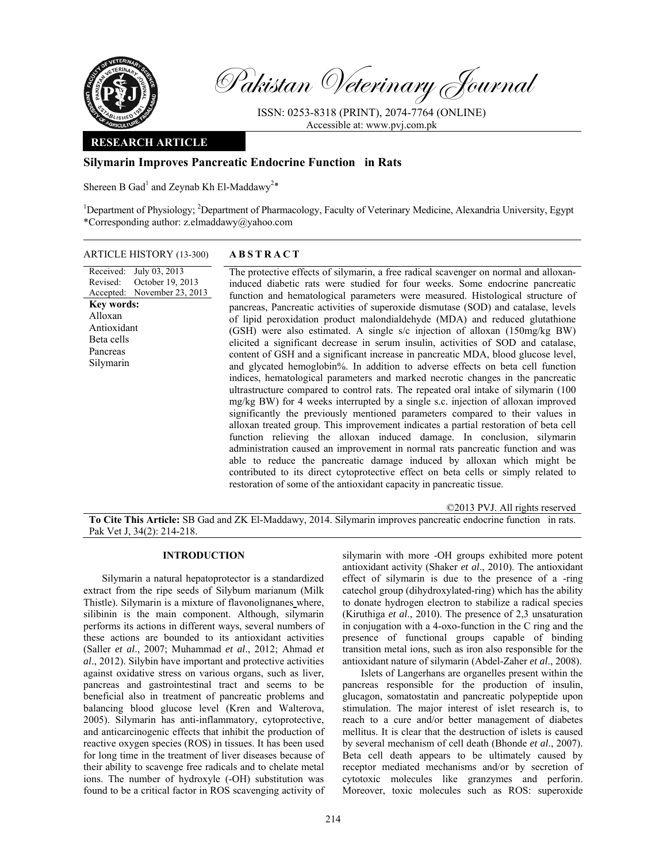

Pakistan Veterinary Journal

ISSN: 0253-8318 (PRINT), 2074-7764 (ONLINE) Accessible at: www.pvj.com.pk

# **RESEARCH ARTICLE**

# **Silymarin Improves Pancreatic Endocrine Function in Rats**

Shereen B Gad<sup>1</sup> and Zeynab Kh El-Maddawy<sup>2\*</sup>

<sup>1</sup>Department of Physiology; <sup>2</sup>Department of Pharmacology, Faculty of Veterinary Medicine, Alexandria University, Egypt \*Corresponding author: z.elmaddawy@yahoo.com

## ARTICLE HISTORY (13-300) **ABSTRACT**

Received: July 03, 2013 Revised: Accepted: October 19, 2013 November 23, 2013 **Key words:**  Alloxan Antioxidant Beta cells Pancreas Silymarin

 The protective effects of silymarin, a free radical scavenger on normal and alloxaninduced diabetic rats were studied for four weeks. Some endocrine pancreatic function and hematological parameters were measured. Histological structure of pancreas, Pancreatic activities of superoxide dismutase (SOD) and catalase, levels of lipid peroxidation product malondialdehyde (MDA) and reduced glutathione (GSH) were also estimated. A single s/c injection of alloxan (150mg/kg BW) elicited a significant decrease in serum insulin, activities of SOD and catalase, content of GSH and a significant increase in pancreatic MDA, blood glucose level, and glycated hemoglobin%. In addition to adverse effects on beta cell function indices, hematological parameters and marked necrotic changes in the pancreatic ultrastructure compared to control rats. The repeated oral intake of silymarin (100 mg/kg BW) for 4 weeks interrupted by a single s.c. injection of alloxan improved significantly the previously mentioned parameters compared to their values in alloxan treated group. This improvement indicates a partial restoration of beta cell function relieving the alloxan induced damage. In conclusion, silymarin administration caused an improvement in normal rats pancreatic function and was able to reduce the pancreatic damage induced by alloxan which might be contributed to its direct cytoprotective effect on beta cells or simply related to restoration of some of the antioxidant capacity in pancreatic tissue.

©2013 PVJ. All rights reserved **To Cite This Article:** SB Gad and ZK El-Maddawy, 2014. Silymarin improves pancreatic endocrine function in rats. Pak Vet J, 34(2): 214-218.

# **INTRODUCTION**

Silymarin a natural hepatoprotector is a standardized extract from the ripe seeds of Silybum marianum (Milk Thistle). Silymarin is a mixture of flavonolignanes where, silibinin is the main component. Although, silymarin performs its actions in different ways, several numbers of these actions are bounded to its antioxidant activities (Saller *et al*., 2007; Muhammad *et al*., 2012; Ahmad *et al*., 2012). Silybin have important and protective activities against oxidative stress on various organs, such as liver, pancreas and gastrointestinal tract and seems to be beneficial also in treatment of pancreatic problems and balancing blood glucose level (Kren and Walterova, 2005). Silymarin has anti-inflammatory, cytoprotective, and anticarcinogenic effects that inhibit the production of reactive oxygen species (ROS) in tissues. It has been used for long time in the treatment of liver diseases because of their ability to scavenge free radicals and to chelate metal ions. The number of hydroxyle (-OH) substitution was found to be a critical factor in ROS scavenging activity of silymarin with more -OH groups exhibited more potent antioxidant activity (Shaker *et al*., 2010). The antioxidant effect of silymarin is due to the presence of a -ring catechol group (dihydroxylated-ring) which has the ability to donate hydrogen electron to stabilize a radical species (Kiruthiga *et al*., 2010). The presence of 2,3 unsaturation in conjugation with a 4-oxo-function in the C ring and the presence of functional groups capable of binding transition metal ions, such as iron also responsible for the antioxidant nature of silymarin (Abdel-Zaher *et al*., 2008).

Islets of Langerhans are organelles present within the pancreas responsible for the production of insulin, glucagon, somatostatin and pancreatic polypeptide upon stimulation. The major interest of islet research is, to reach to a cure and/or better management of diabetes mellitus. It is clear that the destruction of islets is caused by several mechanism of cell death (Bhonde *et al*., 2007). Beta cell death appears to be ultimately caused by receptor mediated mechanisms and/or by secretion of cytotoxic molecules like granzymes and perforin. Moreover, toxic molecules such as ROS: superoxide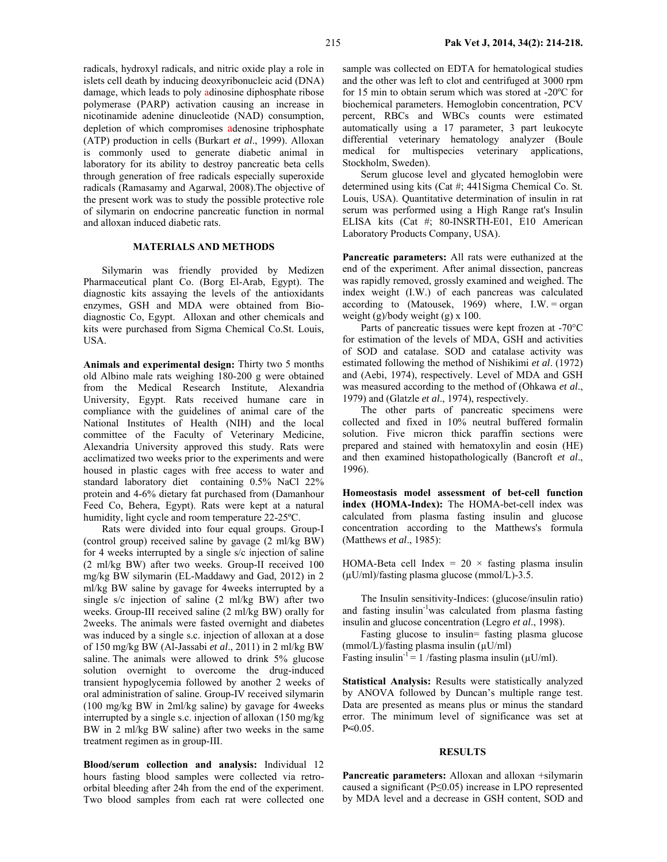radicals, hydroxyl radicals, and nitric oxide play a role in islets cell death by inducing deoxyribonucleic acid (DNA) damage, which leads to poly adinosine diphosphate ribose polymerase (PARP) activation causing an increase in nicotinamide adenine dinucleotide (NAD) consumption, depletion of which compromises adenosine triphosphate (ATP) production in cells (Burkart *et al*., 1999). Alloxan is commonly used to generate diabetic animal in laboratory for its ability to destroy pancreatic beta cells through generation of free radicals especially superoxide radicals (Ramasamy and Agarwal, 2008).The objective of the present work was to study the possible protective role of silymarin on endocrine pancreatic function in normal and alloxan induced diabetic rats.

## **MATERIALS AND METHODS**

Silymarin was friendly provided by Medizen Pharmaceutical plant Co. (Borg El-Arab, Egypt). The diagnostic kits assaying the levels of the antioxidants enzymes, GSH and MDA were obtained from Biodiagnostic Co, Egypt. Alloxan and other chemicals and kits were purchased from Sigma Chemical Co.St. Louis, USA.

**Animals and experimental design:** Thirty two 5 months old Albino male rats weighing 180-200 g were obtained from the Medical Research Institute, Alexandria University, Egypt. Rats received humane care in compliance with the guidelines of animal care of the National Institutes of Health (NIH) and the local committee of the Faculty of Veterinary Medicine, Alexandria University approved this study. Rats were acclimatized two weeks prior to the experiments and were housed in plastic cages with free access to water and standard laboratory diet containing 0.5% NaCl 22% protein and 4-6% dietary fat purchased from (Damanhour Feed Co, Behera, Egypt). Rats were kept at a natural humidity, light cycle and room temperature 22-25ºC.

Rats were divided into four equal groups. Group-I (control group) received saline by gavage (2 ml/kg BW) for 4 weeks interrupted by a single s/c injection of saline (2 ml/kg BW) after two weeks. Group-II received 100 mg/kg BW silymarin (EL-Maddawy and Gad, 2012) in 2 ml/kg BW saline by gavage for 4weeks interrupted by a single s/c injection of saline (2 ml/kg BW) after two weeks. Group-III received saline (2 ml/kg BW) orally for 2weeks. The animals were fasted overnight and diabetes was induced by a single s.c. injection of alloxan at a dose of 150 mg/kg BW (Al-Jassabi *et al*., 2011) in 2 ml/kg BW saline. The animals were allowed to drink 5% glucose solution overnight to overcome the drug-induced transient hypoglycemia followed by another 2 weeks of oral administration of saline. Group-IV received silymarin (100 mg/kg BW in 2ml/kg saline) by gavage for 4weeks interrupted by a single s.c. injection of alloxan (150 mg/kg BW in 2 ml/kg BW saline) after two weeks in the same treatment regimen as in group-III.

**Blood/serum collection and analysis:** Individual 12 hours fasting blood samples were collected via retroorbital bleeding after 24h from the end of the experiment. Two blood samples from each rat were collected one

sample was collected on EDTA for hematological studies and the other was left to clot and centrifuged at 3000 rpm for 15 min to obtain serum which was stored at -20ºC for biochemical parameters. Hemoglobin concentration, PCV percent, RBCs and WBCs counts were estimated automatically using a 17 parameter, 3 part leukocyte differential veterinary hematology analyzer (Boule medical for multispecies veterinary applications, Stockholm, Sweden).

Serum glucose level and glycated hemoglobin were determined using kits (Cat #; 441Sigma Chemical Co. St. Louis, USA). Quantitative determination of insulin in rat serum was performed using a High Range rat's Insulin ELISA kits (Cat #; 80-INSRTH-E01, E10 American Laboratory Products Company, USA).

**Pancreatic parameters:** All rats were euthanized at the end of the experiment. After animal dissection, pancreas was rapidly removed, grossly examined and weighed. The index weight (I.W.) of each pancreas was calculated according to (Matousek, 1969) where, I.W. = organ weight (g)/body weight (g) x 100.

Parts of pancreatic tissues were kept frozen at -70°C for estimation of the levels of MDA, GSH and activities of SOD and catalase. SOD and catalase activity was estimated following the method of Nishikimi *et al*. (1972) and (Aebi, 1974), respectively. Level of MDA and GSH was measured according to the method of (Ohkawa *et al*., 1979) and (Glatzle *et al*., 1974), respectively.

The other parts of pancreatic specimens were collected and fixed in 10% neutral buffered formalin solution. Five micron thick paraffin sections were prepared and stained with hematoxylin and eosin (HE) and then examined histopathologically (Bancroft *et al*., 1996).

**Homeostasis model assessment of bet-cell function index (HOMA-Index):** The HOMA-bet-cell index was calculated from plasma fasting insulin and glucose concentration according to the Matthews's formula (Matthews *et al*., 1985):

HOMA-Beta cell Index =  $20 \times$  fasting plasma insulin  $(\mu U/ml)/fasting plasma glucose (mmol/L)-3.5.$ 

The Insulin sensitivity-Indices: (glucose/insulin ratio) and fasting insulin<sup>-1</sup>was calculated from plasma fasting insulin and glucose concentration (Legro *et al*., 1998).

Fasting glucose to insulin= fasting plasma glucose  $(mmol/L)/fasting plasma insulin (µU/ml)$ 

Fasting insulin<sup>-1</sup> = 1 /fasting plasma insulin ( $\mu$ U/ml).

**Statistical Analysis:** Results were statistically analyzed by ANOVA followed by Duncan's multiple range test. Data are presented as means plus or minus the standard error. The minimum level of significance was set at  $P \le 0.05$ .

## **RESULTS**

**Pancreatic parameters:** Alloxan and alloxan +silymarin caused a significant (P≤0.05) increase in LPO represented by MDA level and a decrease in GSH content, SOD and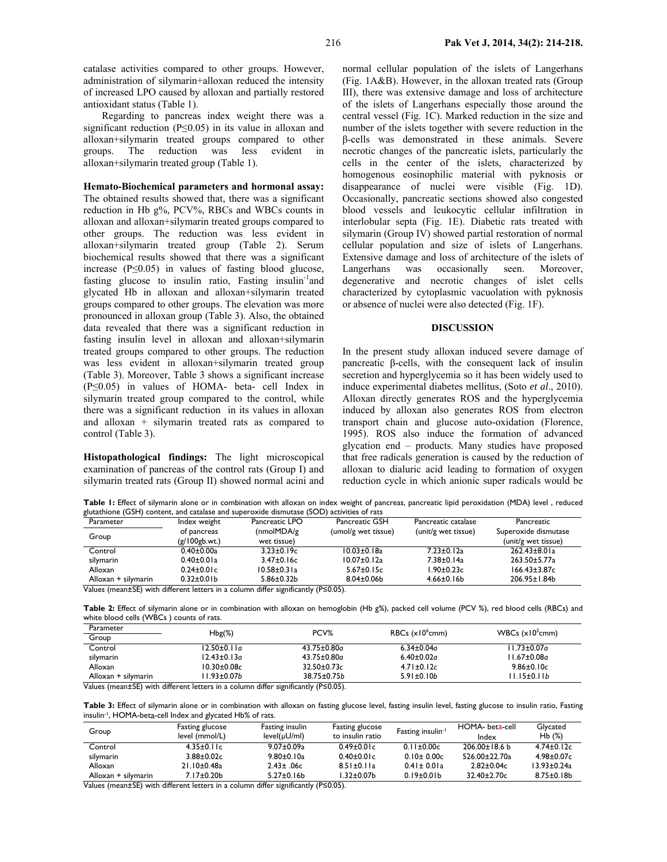catalase activities compared to other groups. However, administration of silymarin+alloxan reduced the intensity of increased LPO caused by alloxan and partially restored antioxidant status (Table 1).

Regarding to pancreas index weight there was a significant reduction (P≤0.05) in its value in alloxan and alloxan+silymarin treated groups compared to other groups. The reduction was less evident in alloxan+silymarin treated group (Table 1).

# **Hemato-Biochemical parameters and hormonal assay:**

The obtained results showed that, there was a significant reduction in Hb g%, PCV%, RBCs and WBCs counts in alloxan and alloxan+silymarin treated groups compared to other groups. The reduction was less evident in alloxan+silymarin treated group (Table 2). Serum biochemical results showed that there was a significant increase (P≤0.05) in values of fasting blood glucose, fasting glucose to insulin ratio, Fasting insulin<sup>-1</sup>and glycated Hb in alloxan and alloxan+silymarin treated groups compared to other groups. The elevation was more pronounced in alloxan group (Table 3). Also, the obtained data revealed that there was a significant reduction in fasting insulin level in alloxan and alloxan+silymarin treated groups compared to other groups. The reduction was less evident in alloxan+silymarin treated group (Table 3). Moreover, Table 3 shows a significant increase (P≤0.05) in values of HOMA- beta- cell Index in silymarin treated group compared to the control, while there was a significant reduction in its values in alloxan and alloxan + silymarin treated rats as compared to control (Table 3).

**Histopathological findings:** The light microscopical examination of pancreas of the control rats (Group I) and silymarin treated rats (Group II) showed normal acini and normal cellular population of the islets of Langerhans (Fig. 1A&B). However, in the alloxan treated rats (Group III), there was extensive damage and loss of architecture of the islets of Langerhans especially those around the central vessel (Fig. 1C). Marked reduction in the size and number of the islets together with severe reduction in the β-cells was demonstrated in these animals. Severe necrotic changes of the pancreatic islets, particularly the cells in the center of the islets, characterized by homogenous eosinophilic material with pyknosis or disappearance of nuclei were visible (Fig. 1D). Occasionally, pancreatic sections showed also congested blood vessels and leukocytic cellular infiltration in interlobular septa (Fig. 1E). Diabetic rats treated with silymarin (Group IV) showed partial restoration of normal cellular population and size of islets of Langerhans. Extensive damage and loss of architecture of the islets of Langerhans was occasionally seen. Moreover, degenerative and necrotic changes of islet cells characterized by cytoplasmic vacuolation with pyknosis or absence of nuclei were also detected (Fig. 1F).

#### **DISCUSSION**

In the present study alloxan induced severe damage of pancreatic β-cells, with the consequent lack of insulin secretion and hyperglycemia so it has been widely used to induce experimental diabetes mellitus, (Soto *et al*., 2010). Alloxan directly generates ROS and the hyperglycemia induced by alloxan also generates ROS from electron transport chain and glucose auto-oxidation (Florence, 1995). ROS also induce the formation of advanced glycation end – products. Many studies have proposed that free radicals generation is caused by the reduction of alloxan to dialuric acid leading to formation of oxygen reduction cycle in which anionic super radicals would be

Table 1: Effect of silymarin alone or in combination with alloxan on index weight of pancreas, pancreatic lipid peroxidation (MDA) level, reduced glutathione (GSH) content, and catalase and superoxide dismutase (SOD) activities of rats

| Parameter                                                                                        | Index weight      | Pancreatic LPO    | Pancreatic GSH      | Pancreatic catalase | Pancreatic           |
|--------------------------------------------------------------------------------------------------|-------------------|-------------------|---------------------|---------------------|----------------------|
| Group                                                                                            | of pancreas       | (nmolMDA/g)       | (umol/g wet tissue) | (unit/g wet tissue) | Superoxide dismutase |
|                                                                                                  | (g/100gb.wt.)     | wet tissue)       |                     |                     | (unit/g wet tissue)  |
| Control                                                                                          | $0.40 \pm 0.00a$  | $3.23 \pm 0.19c$  | $10.03 \pm 0.18$ a  | $7.23 \pm 0.12a$    | $262.43 \pm 8.01a$   |
| silymarin                                                                                        | $0.40 \pm 0.01a$  | $3.47 \pm 0.16c$  | $10.07 \pm 0.12a$   | 7.38±0.14a          | $263.50 + 5.77a$     |
| Alloxan                                                                                          | $0.24 \pm 0.01c$  | $10.58 \pm 0.31a$ | $5.67 \pm 0.15c$    | $1.90 \pm 0.23c$    | $166.43 \pm 3.87c$   |
| Alloxan + silymarin                                                                              | $0.32 \pm 0.01 b$ | $5.86 \pm 0.32$ b | $8.04 \pm 0.06$     | $4.66 \pm 0.16 b$   | 206.95±1.84b         |
| Values (mean $\pm$ SE) with different letters in a column differ significantly ( $P \le 0.05$ ). |                   |                   |                     |                     |                      |

Table 2: Effect of silymarin alone or in combination with alloxan on hemoglobin (Hb g%), packed cell volume (PCV %), red blood cells (RBCs) and white blood cells (WBCs ) counts of rats.

| Parameter           | $Hbg(\%)$          | PCV%               | $RBCs$ ( $x10^{\circ}$ cmm) | WBCs $(x10^3$ cmm)  |  |
|---------------------|--------------------|--------------------|-----------------------------|---------------------|--|
| Group               |                    |                    |                             |                     |  |
| Control             | 12.50±0.11a        | $43.75 \pm 0.80$ a | $6.34 \pm 0.04$ a           | l I.73±0.07a        |  |
| silymarin           | $12.43 \pm 0.13$ a | $43.75 \pm 0.80$ a | $6.40 \pm 0.02a$            | l I.67±0.08a        |  |
| Alloxan             | $10.30 \pm 0.08c$  | $32.50 \pm 0.73c$  | $4.71 \pm 0.12c$            | $9.86 \pm 0.10c$    |  |
| Alloxan + silymarin | l I.93±0.07b       | 38.75±0.75b        | $5.91 \pm 0.10h$            | 11.15±0.11 <i>b</i> |  |

Values (mean±SE) with different letters in a column differ significantly (P≤0.05).

Table 3: Effect of silymarin alone or in combination with alloxan on fasting glucose level, fasting insulin level, fasting glucose to insulin ratio, Fasting insulin-1, HOMA-beta-cell Index and glycated Hb% of rats.

| Group               | Fasting glucose<br>level (mmol/L) | Fasting insulin<br>$level(\mu U/ml)$ | Fasting glucose<br>to insulin ratio | Fasting insulin <sup>-</sup> | HOMA- beta-cell<br>Index | Glycated<br>Hb(%) |
|---------------------|-----------------------------------|--------------------------------------|-------------------------------------|------------------------------|--------------------------|-------------------|
| Control             | $4.35 \pm 0.11c$                  | $9.07 \pm 0.09a$                     | $0.49 \pm 0.01$ c                   | $0.11 \pm 0.00c$             | $206.00\pm18.6$ b        | $4.74 \pm 0.12c$  |
| silymarin           | $3.88 \pm 0.02c$                  | $9.80 \pm 0.10$ a                    | $0.40 \pm 0.01c$                    | $0.10 \pm 0.00c$             | 526.00±22.70a            | $4.98 \pm 0.07c$  |
| Alloxan             | 21.10±0.48a                       | $2.43 \pm .06c$                      | $8.51 \pm 0.11a$                    | $0.41 \pm 0.01a$             | $2.82 \pm 0.04c$         | $13.93 \pm 0.24a$ |
| Alloxan + silymarin | 7.17±0.20b                        | $5.27 \pm 0.16 b$                    | .32±0.07b                           | $0.19 \pm 0.01 b$            | $32.40 \pm 2.70c$        | $8.75 \pm 0.18$   |

Values (mean±SE) with different letters in a column differ significantly (P≤0.05).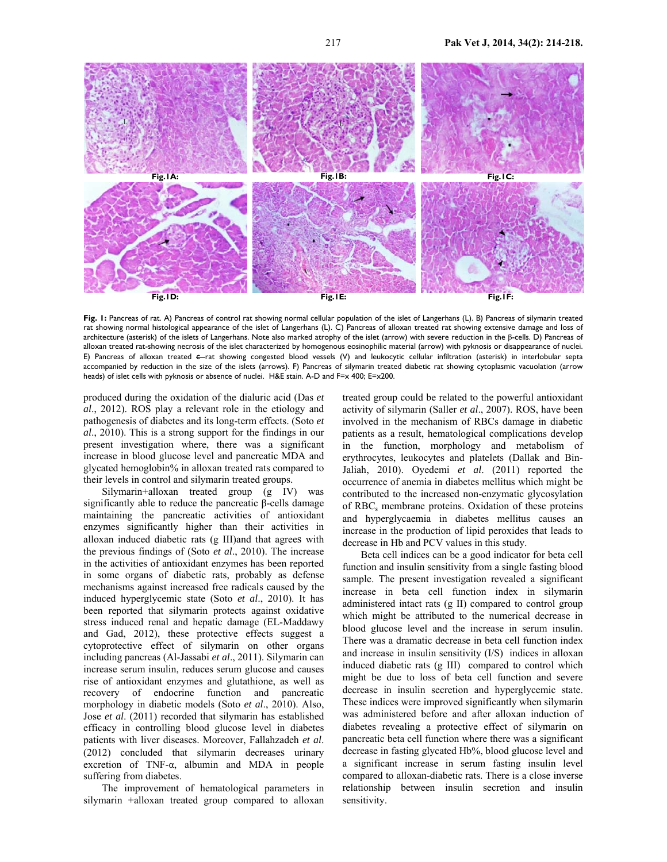

**Fig. 1:** Pancreas of rat. A) Pancreas of control rat showing normal cellular population of the islet of Langerhans (L). B) Pancreas of silymarin treated rat showing normal histological appearance of the islet of Langerhans (L). C) Pancreas of alloxan treated rat showing extensive damage and loss of architecture (asterisk) of the islets of Langerhans. Note also marked atrophy of the islet (arrow) with severe reduction in the β-cells. D) Pancreas of alloxan treated rat-showing necrosis of the islet characterized by homogenous eosinophilic material (arrow) with pyknosis or disappearance of nuclei. E) Pancreas of alloxan treated e-rat showing congested blood vessels (V) and leukocytic cellular infiltration (asterisk) in interlobular septa accompanied by reduction in the size of the islets (arrows). F) Pancreas of silymarin treated diabetic rat showing cytoplasmic vacuolation (arrow heads) of islet cells with pyknosis or absence of nuclei. H&E stain. A-D and F=x 400; E=x200.

produced during the oxidation of the dialuric acid (Das *et al*., 2012). ROS play a relevant role in the etiology and pathogenesis of diabetes and its long-term effects. (Soto *et al*., 2010). This is a strong support for the findings in our present investigation where, there was a significant increase in blood glucose level and pancreatic MDA and glycated hemoglobin% in alloxan treated rats compared to their levels in control and silymarin treated groups.

Silymarin+alloxan treated group (g IV) was significantly able to reduce the pancreatic β-cells damage maintaining the pancreatic activities of antioxidant enzymes significantly higher than their activities in alloxan induced diabetic rats (g III)and that agrees with the previous findings of (Soto *et al*., 2010). The increase in the activities of antioxidant enzymes has been reported in some organs of diabetic rats, probably as defense mechanisms against increased free radicals caused by the induced hyperglycemic state (Soto *et al*., 2010). It has been reported that silymarin protects against oxidative stress induced renal and hepatic damage (EL-Maddawy and Gad, 2012), these protective effects suggest a cytoprotective effect of silymarin on other organs including pancreas (Al-Jassabi *et al*., 2011). Silymarin can increase serum insulin, reduces serum glucose and causes rise of antioxidant enzymes and glutathione, as well as recovery of endocrine function and pancreatic morphology in diabetic models (Soto *et al*., 2010). Also, Jose *et al*. (2011) recorded that silymarin has established efficacy in controlling blood glucose level in diabetes patients with liver diseases. Moreover, Fallahzadeh *et al*. (2012) concluded that silymarin decreases urinary excretion of TNF- $\alpha$ , albumin and MDA in people suffering from diabetes.

The improvement of hematological parameters in silymarin +alloxan treated group compared to alloxan

treated group could be related to the powerful antioxidant activity of silymarin (Saller *et al*., 2007). ROS, have been involved in the mechanism of RBCs damage in diabetic patients as a result, hematological complications develop in the function, morphology and metabolism of erythrocytes, leukocytes and platelets (Dallak and Bin-Jaliah, 2010). Oyedemi *et al*. (2011) reported the occurrence of anemia in diabetes mellitus which might be contributed to the increased non-enzymatic glycosylation of RBC<sub>s</sub> membrane proteins. Oxidation of these proteins and hyperglycaemia in diabetes mellitus causes an increase in the production of lipid peroxides that leads to decrease in Hb and PCV values in this study.

Beta cell indices can be a good indicator for beta cell function and insulin sensitivity from a single fasting blood sample. The present investigation revealed a significant increase in beta cell function index in silymarin administered intact rats (g II) compared to control group which might be attributed to the numerical decrease in blood glucose level and the increase in serum insulin. There was a dramatic decrease in beta cell function index and increase in insulin sensitivity (I/S) indices in alloxan induced diabetic rats (g III) compared to control which might be due to loss of beta cell function and severe decrease in insulin secretion and hyperglycemic state. These indices were improved significantly when silymarin was administered before and after alloxan induction of diabetes revealing a protective effect of silymarin on pancreatic beta cell function where there was a significant decrease in fasting glycated Hb%, blood glucose level and a significant increase in serum fasting insulin level compared to alloxan-diabetic rats. There is a close inverse relationship between insulin secretion and insulin sensitivity.